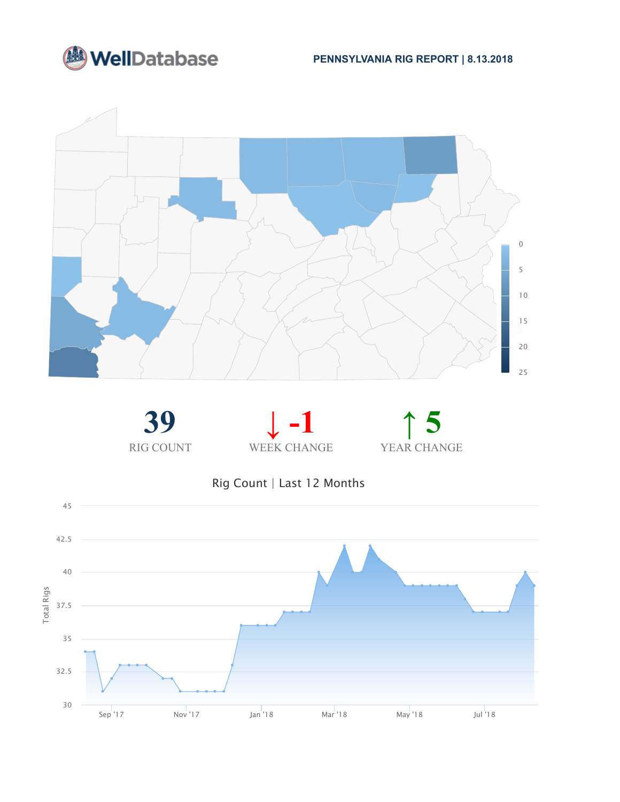









Rig Count | Last 12 Months

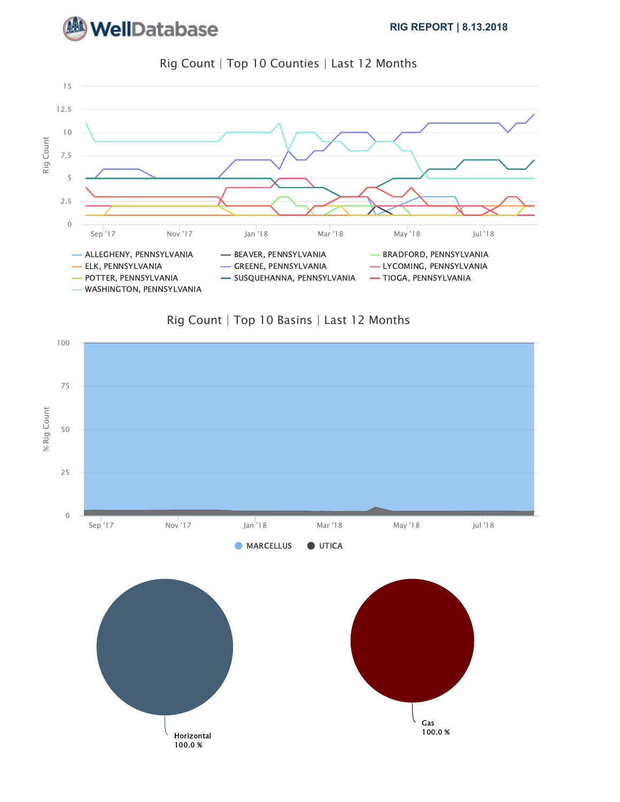







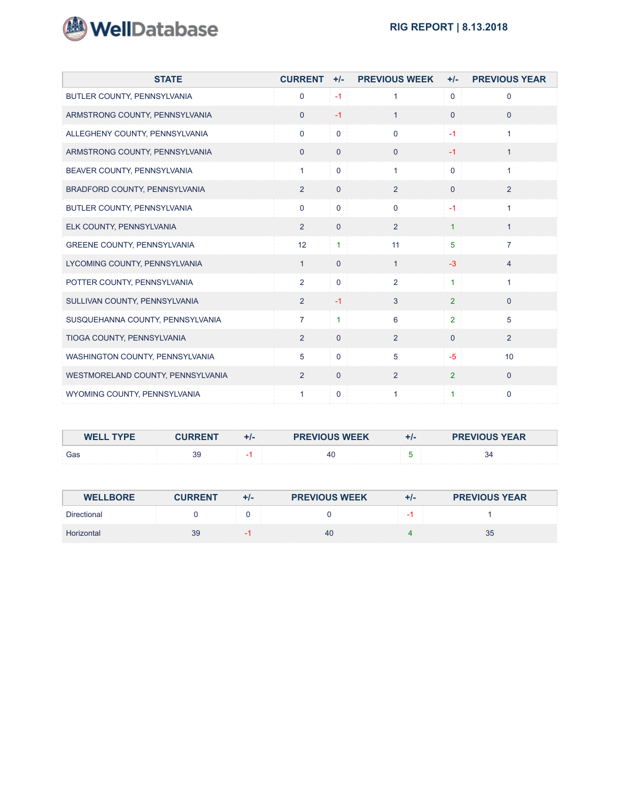

| <b>STATE</b>                      | <b>CURRENT</b> | $+/-$          | <b>PREVIOUS WEEK</b> | $+/-$          | <b>PREVIOUS YEAR</b> |
|-----------------------------------|----------------|----------------|----------------------|----------------|----------------------|
| BUTLER COUNTY, PENNSYLVANIA       | $\mathbf 0$    | $-1$           | 1                    | $\Omega$       | $\Omega$             |
| ARMSTRONG COUNTY, PENNSYLVANIA    | $\overline{0}$ | $-1$           | $\mathbf{1}$         | $\mathbf{0}$   | $\mathbf{0}$         |
| ALLEGHENY COUNTY, PENNSYLVANIA    | $\overline{0}$ | $\mathbf{0}$   | $\mathbf 0$          | $-1$           | $\mathbf{1}$         |
| ARMSTRONG COUNTY, PENNSYLVANIA    | $\mathbf{0}$   | $\Omega$       | $\mathbf{0}$         | $-1$           | $\mathbf{1}$         |
| BEAVER COUNTY, PENNSYLVANIA       | $\mathbf{1}$   | $\mathbf{0}$   | $\mathbf{1}$         | $\Omega$       | 1                    |
| BRADFORD COUNTY, PENNSYLVANIA     | 2              | $\mathbf{0}$   | 2                    | $\Omega$       | 2                    |
| BUTLER COUNTY, PENNSYLVANIA       | $\mathbf 0$    | $\mathbf 0$    | $\mathbf 0$          | $-1$           | $\mathbf{1}$         |
| ELK COUNTY, PENNSYLVANIA          | 2              | $\overline{0}$ | $\overline{2}$       | $\mathbf{1}$   | $\mathbf{1}$         |
| GREENE COUNTY, PENNSYLVANIA       | 12             | $\mathbf{1}$   | 11                   | 5              | $\overline{7}$       |
| LYCOMING COUNTY, PENNSYLVANIA     | $\mathbf{1}$   | $\Omega$       | $\mathbf{1}$         | $-3$           | $\overline{4}$       |
| POTTER COUNTY, PENNSYLVANIA       | $\overline{2}$ | $\mathbf{0}$   | $\overline{2}$       | $\mathbf{1}$   | $\mathbf{1}$         |
| SULLIVAN COUNTY, PENNSYLVANIA     | 2              | $-1$           | 3                    | $\overline{2}$ | $\Omega$             |
| SUSQUEHANNA COUNTY, PENNSYLVANIA  | $\overline{7}$ | $\mathbf{1}$   | 6                    | $\overline{2}$ | 5                    |
| TIOGA COUNTY, PENNSYLVANIA        | 2              | $\overline{0}$ | 2                    | $\overline{0}$ | 2                    |
| WASHINGTON COUNTY, PENNSYLVANIA   | 5              | $\mathbf{0}$   | 5                    | $-5$           | 10                   |
| WESTMORELAND COUNTY, PENNSYLVANIA | 2              | $\Omega$       | $\overline{2}$       | $\overline{2}$ | $\Omega$             |
| WYOMING COUNTY, PENNSYLVANIA      | $\mathbf{1}$   | $\mathbf 0$    | 1                    | 1              | $\mathbf 0$          |

| <b>WELL TYPE</b> | <b>CURREN</b> | +1- | <b>PREVIOUS WEEK</b> | TI- | <b>PREVIOUS YEAR</b> |
|------------------|---------------|-----|----------------------|-----|----------------------|
| Gas              | 39            |     | -40                  |     | -34                  |

| <b>WELLBORE</b>    | <b>CURRENT</b> | $+/-$ | <b>PREVIOUS WEEK</b> | $+/-$ | <b>PREVIOUS YEAR</b> |
|--------------------|----------------|-------|----------------------|-------|----------------------|
| <b>Directional</b> |                |       |                      |       |                      |
| Horizontal         | 39             |       | 40                   |       | 35                   |